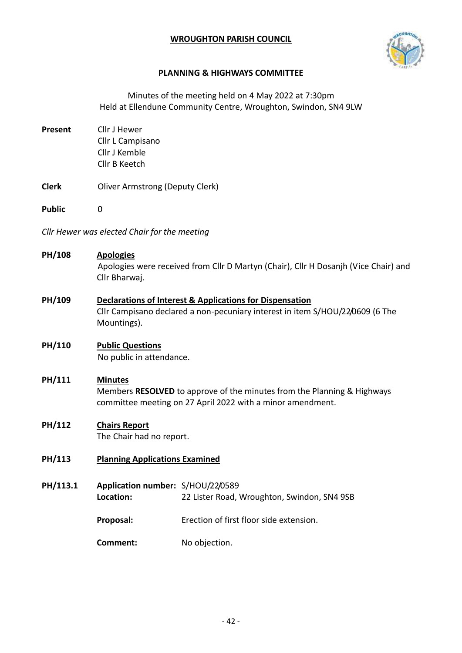## **WROUGHTON PARISH COUNCIL**



#### **PLANNING & HIGHWAYS COMMITTEE**

Minutes of the meeting held on 4 May 2022 at 7:30pm Held at Ellendune Community Centre, Wroughton, Swindon, SN4 9LW

- **Present** Cllr J Hewer Cllr L Campisano Cllr J Kemble Cllr B Keetch
- **Clerk** Oliver Armstrong (Deputy Clerk)
- **Public** 0

*Cllr Hewer was elected Chair for the meeting*

# **PH/108 Apologies** Apologies were received from Cllr D Martyn (Chair), Cllr H Dosanjh (Vice Chair) and Cllr Bharwaj.

**PH/109 Declarations of Interest & Applications for Dispensation** Cllr Campisano declared a non-pecuniary interest in item S/HOU/22/0609 (6 The Mountings).

#### **PH/110 Public Questions** No public in attendance.

# **PH/111 Minutes**

Members **RESOLVED** to approve of the minutes from the Planning & Highways committee meeting on 27 April 2022 with a minor amendment.

## **PH/112 Chairs Report**

The Chair had no report.

## **PH/113 Planning Applications Examined**

**PH/113.1 Application number:** S/HOU/22/0589 **Location:** 22 Lister Road, Wroughton, Swindon, SN4 9SB

**Proposal:** Erection of first floor side extension.

**Comment:** No objection.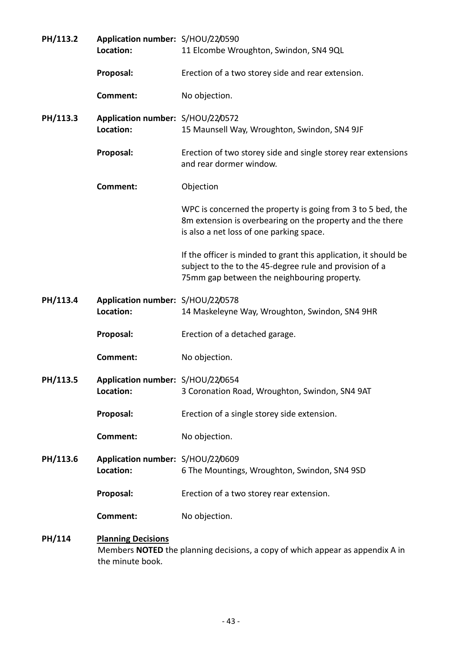| PH/113.2 | Application number: S/HOU/22/0590<br>Location: | 11 Elcombe Wroughton, Swindon, SN4 9QL                                                                                                                                     |
|----------|------------------------------------------------|----------------------------------------------------------------------------------------------------------------------------------------------------------------------------|
|          | Proposal:                                      | Erection of a two storey side and rear extension.                                                                                                                          |
|          | Comment:                                       | No objection.                                                                                                                                                              |
| PH/113.3 | Application number: S/HOU/22/0572<br>Location: | 15 Maunsell Way, Wroughton, Swindon, SN4 9JF                                                                                                                               |
|          | Proposal:                                      | Erection of two storey side and single storey rear extensions<br>and rear dormer window.                                                                                   |
|          | <b>Comment:</b>                                | Objection                                                                                                                                                                  |
|          |                                                | WPC is concerned the property is going from 3 to 5 bed, the<br>8m extension is overbearing on the property and the there<br>is also a net loss of one parking space.       |
|          |                                                | If the officer is minded to grant this application, it should be<br>subject to the to the 45-degree rule and provision of a<br>75mm gap between the neighbouring property. |
| PH/113.4 | Application number: S/HOU/22/0578<br>Location: | 14 Maskeleyne Way, Wroughton, Swindon, SN4 9HR                                                                                                                             |
|          |                                                |                                                                                                                                                                            |
|          | Proposal:                                      | Erection of a detached garage.                                                                                                                                             |
|          | <b>Comment:</b>                                | No objection.                                                                                                                                                              |
| PH/113.5 | Application number: S/HOU/22/0654<br>Location: | 3 Coronation Road, Wroughton, Swindon, SN4 9AT                                                                                                                             |
|          | Proposal:                                      | Erection of a single storey side extension.                                                                                                                                |
|          | <b>Comment:</b>                                | No objection.                                                                                                                                                              |
| PH/113.6 | Application number: S/HOU/22/0609<br>Location: | 6 The Mountings, Wroughton, Swindon, SN4 9SD                                                                                                                               |
|          | Proposal:                                      | Erection of a two storey rear extension.                                                                                                                                   |
|          | <b>Comment:</b>                                | No objection.                                                                                                                                                              |